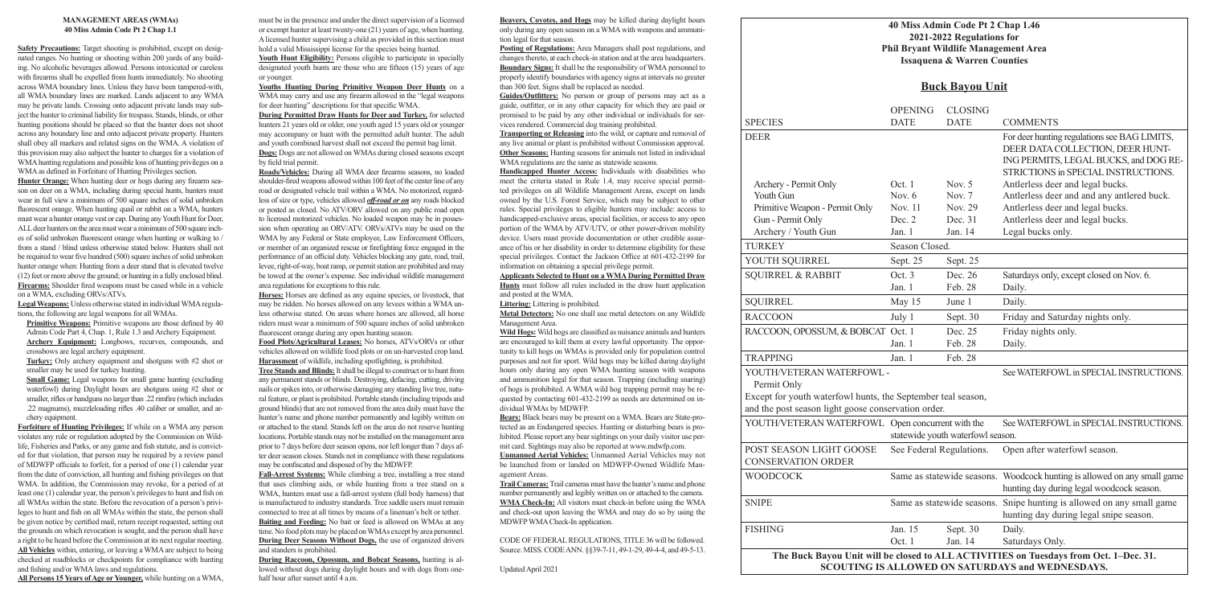### **40 Miss Admin Code Pt 2 Chap 1.46 2021-2022 Regulations for Phil Bryant Wildlife Management Area Issaquena & Warren Counties**

|                                                                                                                                                                 |                                         | <b>Issaquena &amp; Warren Counties</b>     |                                                     |  |
|-----------------------------------------------------------------------------------------------------------------------------------------------------------------|-----------------------------------------|--------------------------------------------|-----------------------------------------------------|--|
|                                                                                                                                                                 | <b>Buck Bayou Unit</b>                  |                                            |                                                     |  |
| <b>SPECIES</b>                                                                                                                                                  | <b>OPENING</b><br><b>DATE</b>           | <b>CLOSING</b><br><b>DATE</b>              | <b>COM</b>                                          |  |
| <b>DEER</b>                                                                                                                                                     |                                         |                                            | For de<br><b>DEER</b><br><b>INGF</b><br><b>STRI</b> |  |
| Archery - Permit Only<br>Youth Gun<br>Primitive Weapon - Permit Only<br>Gun - Permit Only                                                                       | Oct. 1<br>Nov. $6$<br>Nov. 11<br>Dec. 2 | Nov. $5$<br>Nov. $7$<br>Nov. 29<br>Dec. 31 | Antle<br>Antle<br>Antle<br>Antle                    |  |
| Archery / Youth Gun<br><b>TURKEY</b>                                                                                                                            | Jan. $1$<br>Season Closed.              | Jan. 14                                    | Legal                                               |  |
| YOUTH SQUIRREL                                                                                                                                                  | Sept. 25                                | Sept. 25                                   |                                                     |  |
| <b>SQUIRREL &amp; RABBIT</b>                                                                                                                                    | Oct. 3<br>Jan. 1                        | Dec. 26<br>Feb. 28                         | Saturo<br><b>Daily</b>                              |  |
| <b>SQUIRREL</b>                                                                                                                                                 | May 15                                  | June 1                                     | Daily                                               |  |
| <b>RACCOON</b>                                                                                                                                                  | July 1                                  | Sept. 30                                   | Frida                                               |  |
| RACCOON, OPOSSUM, & BOBCAT Oct. 1                                                                                                                               | Jan. 1                                  | Dec. 25<br>Feb. 28                         | Frida<br><b>Daily</b>                               |  |
| <b>TRAPPING</b>                                                                                                                                                 | Jan. $1$                                | Feb. 28                                    |                                                     |  |
| YOUTH/VETERAN WATERFOWL -<br>Permit Only<br>Except for youth waterfowl hunts, the September teal season,<br>and the post season light goose conservation order. |                                         |                                            | See W                                               |  |
| YOUTH/VETERAN WATERFOWL Open concurrent with the                                                                                                                |                                         | statewide youth waterfowl season.          | See W                                               |  |
| POST SEASON LIGHT GOOSE<br><b>CONSERVATION ORDER</b>                                                                                                            |                                         | See Federal Regulations.                   | Open                                                |  |
| <b>WOODCOCK</b>                                                                                                                                                 |                                         | Same as statewide seasons. Wood            | huntir                                              |  |
| <b>SNIPE</b>                                                                                                                                                    |                                         | Same as statewide seasons. Snipe           | huntii                                              |  |
| <b>FISHING</b>                                                                                                                                                  | Jan. 15<br>Oct. 1                       | Sept. 30<br>Jan. 14                        | Daily.<br>Saturo                                    |  |

# **Buck Bayou Unit**

| <b>SPECIES</b>                                                                                                      | <b>OPENING</b><br><b>DATE</b>     | <b>CLOSING</b><br><b>DATE</b> | <b>COMMENTS</b>                                                                                                 |  |  |
|---------------------------------------------------------------------------------------------------------------------|-----------------------------------|-------------------------------|-----------------------------------------------------------------------------------------------------------------|--|--|
|                                                                                                                     |                                   |                               |                                                                                                                 |  |  |
| DEER                                                                                                                |                                   |                               | For deer hunting regulations see BAG LIMITS,<br>DEER DATA COLLECTION, DEER HUNT-                                |  |  |
|                                                                                                                     |                                   |                               | ING PERMITS, LEGAL BUCKS, and DOG RE-                                                                           |  |  |
|                                                                                                                     |                                   |                               | STRICTIONS in SPECIAL INSTRUCTIONS.                                                                             |  |  |
| Archery - Permit Only                                                                                               | Oct. 1                            | Nov. $5$                      | Antlerless deer and legal bucks.                                                                                |  |  |
| Youth Gun                                                                                                           | Nov. $6$                          | Nov. 7                        | Antlerless deer and and any antlered buck.                                                                      |  |  |
| Primitive Weapon - Permit Only                                                                                      | Nov. 11                           | Nov. 29                       | Antlerless deer and legal bucks.                                                                                |  |  |
| Gun - Permit Only                                                                                                   | Dec. 2                            | Dec. 31                       | Antlerless deer and legal bucks.                                                                                |  |  |
| Archery / Youth Gun                                                                                                 | Jan. 1                            | Jan. 14                       | Legal bucks only.                                                                                               |  |  |
| <b>TURKEY</b>                                                                                                       | Season Closed.                    |                               |                                                                                                                 |  |  |
| YOUTH SQUIRREL                                                                                                      | Sept. 25                          | Sept. 25                      |                                                                                                                 |  |  |
| <b>SQUIRREL &amp; RABBIT</b>                                                                                        | Oct. 3                            | Dec. 26                       | Saturdays only, except closed on Nov. 6.                                                                        |  |  |
|                                                                                                                     | Jan. 1                            | Feb. 28                       | Daily.                                                                                                          |  |  |
| SQUIRREL                                                                                                            | May 15                            | June 1                        | Daily.                                                                                                          |  |  |
| <b>RACCOON</b>                                                                                                      | July 1                            | Sept. 30                      | Friday and Saturday nights only.                                                                                |  |  |
| RACCOON, OPOSSUM, & BOBCAT Oct. 1                                                                                   |                                   | Dec. 25                       | Friday nights only.                                                                                             |  |  |
|                                                                                                                     | Jan. 1                            | Feb. 28                       | Daily.                                                                                                          |  |  |
| <b>TRAPPING</b>                                                                                                     | Jan. 1                            | Feb. 28                       |                                                                                                                 |  |  |
| YOUTH/VETERAN WATERFOWL -<br>Permit Only                                                                            |                                   |                               | See WATERFOWL in SPECIAL INSTRUCTIONS.                                                                          |  |  |
| Except for youth waterfowl hunts, the September teal season,<br>and the post season light goose conservation order. |                                   |                               |                                                                                                                 |  |  |
| YOUTH/VETERAN WATERFOWL Open concurrent with the                                                                    |                                   |                               |                                                                                                                 |  |  |
|                                                                                                                     | statewide youth waterfowl season. |                               | See WATERFOWL in SPECIAL INSTRUCTIONS.                                                                          |  |  |
| POST SEASON LIGHT GOOSE<br><b>CONSERVATION ORDER</b>                                                                | See Federal Regulations.          |                               | Open after waterfowl season.                                                                                    |  |  |
| <b>WOODCOCK</b>                                                                                                     |                                   |                               | Same as statewide seasons. Woodcock hunting is allowed on any small game                                        |  |  |
|                                                                                                                     |                                   |                               | hunting day during legal woodcock season.                                                                       |  |  |
| <b>SNIPE</b>                                                                                                        |                                   |                               | Same as statewide seasons. Snipe hunting is allowed on any small game<br>hunting day during legal snipe season. |  |  |
| FISHING                                                                                                             | Jan. 15                           | Sept. 30                      | Daily.                                                                                                          |  |  |
|                                                                                                                     | Oct. 1                            | Jan. 14                       | Saturdays Only.                                                                                                 |  |  |
| The Buck Bayou Unit will be closed to ALL ACTIVITIES on Tuesdays from Oct. 1-Dec. 31.                               |                                   |                               |                                                                                                                 |  |  |

**SCOUTING IS ALLOWED ON SATURDAYS and WEDNESDAYS.**

#### **MANAGEMENT AREAS (WMAs) 40 Miss Admin Code Pt 2 Chap 1.1**

**Primitive Weapons:** Primitive weapons are those defined by 40 Admin Code Part 4, Chap. 1, Rule 1.3 and Archery Equipment. **Archery Equipment:** Longbows, recurves, compounds, and crossbows are legal archery equipment.

**Small Game:** Legal weapons for small game hunting (excluding waterfowl) during Daylight hours are shotguns using #2 shot or smaller, rifles or handguns no larger than .22 rimfire (which includes .22 magnums), muzzleloading rifles .40 caliber or smaller, and archery equipment.

**Safety Precautions:** Target shooting is prohibited, except on designated ranges. No hunting or shooting within 200 yards of any building. No alcoholic beverages allowed. Persons intoxicated or careless with firearms shall be expelled from hunts immediately. No shooting across WMA boundary lines. Unless they have been tampered-with, all WMA boundary lines are marked. Lands adjacent to any WMA may be private lands. Crossing onto adjacent private lands may subject the hunter to criminal liability for trespass. Stands, blinds, or other hunting positions should be placed so that the hunter does not shoot across any boundary line and onto adjacent private property. Hunters shall obey all markers and related signs on the WMA. A violation of this provision may also subject the hunter to charges for a violation of WMA hunting regulations and possible loss of hunting privileges on a WMA as defined in Forfeiture of Hunting Privileges section.

Youth Hunt Eligibility: Persons eligible to participate in specially designated youth hunts are those who are fifteen (15) years of age or younger.

**Hunter Orange:** When hunting deer or hogs during any firearm season on deer on a WMA, including during special hunts, hunters must wear in full view a minimum of 500 square inches of solid unbroken fluorescent orange. When hunting quail or rabbit on a WMA, hunters must wear a hunter orange vest or cap. During any Youth Hunt for Deer, ALL deer hunters on the area must wear a minimum of 500 square inches of solid unbroken fluorescent orange when hunting or walking to / from a stand / blind unless otherwise stated below. Hunters shall not be required to wear five hundred (500) square inches of solid unbroken hunter orange when: Hunting from a deer stand that is elevated twelve (12) feet or more above the ground; or hunting in a fully enclosed blind. **Firearms:** Shoulder fired weapons must be cased while in a vehicle on a WMA, excluding ORVs/ATVs.

**Legal Weapons:** Unless otherwise stated in individual WMA regulations, the following are legal weapons for all WMAs.

**Turkey:** Only archery equipment and shotguns with #2 shot or smaller may be used for turkey hunting.

> **During Raccoon, Opossum, and Bobcat Seasons,** hunting is allowed without dogs during daylight hours and with dogs from onehalf hour after sunset until 4 a.m.

**Forfeiture of Hunting Privileges:** If while on a WMA any person violates any rule or regulation adopted by the Commission on Wildlife, Fisheries and Parks, or any game and fish statute, and is convicted for that violation, that person may be required by a review panel of MDWFP officials to forfeit, for a period of one (1) calendar year from the date of conviction, all hunting and fishing privileges on that WMA. In addition, the Commission may revoke, for a period of at least one (1) calendar year, the person's privileges to hunt and fish on all WMAs within the state. Before the revocation of a person's privileges to hunt and fish on all WMAs within the state, the person shall be given notice by certified mail, return receipt requested, setting out the grounds on which revocation is sought, and the person shall have a right to be heard before the Commission at its next regular meeting. **All Vehicles** within, entering, or leaving a WMA are subject to being checked at roadblocks or checkpoints for compliance with hunting and fishing and/or WMA laws and regulations.

**All Persons 15 Years of Age or Younger,** while hunting on a WMA,

must be in the presence and under the direct supervision of a licensed or exempt hunter at least twenty-one (21) years of age, when hunting. A licensed hunter supervising a child as provided in this section must hold a valid Mississippi license for the species being hunted.

**Youths Hunting During Primitive Weapon Deer Hunts** on a WMA may carry and use any firearm allowed in the "legal weapons for deer hunting" descriptions for that specific WMA.

**During Permitted Draw Hunts for Deer and Turkey,** for selected hunters 21 years old or older, one youth aged 15 years old or younger may accompany or hunt with the permitted adult hunter. The adult and youth combined harvest shall not exceed the permit bag limit. **Dogs:** Dogs are not allowed on WMAs during closed seasons except by field trial permit.

**Roads/Vehicles:** During all WMA deer firearms seasons, no loaded shoulder-fired weapons allowed within 100 feet of the center line of any road or designated vehicle trail within a WMA. No motorized, regardless of size or type, vehicles allowed *off-road or on* any roads blocked or posted as closed. No ATV/ORV allowed on any public road open to licensed motorized vehicles. No loaded weapon may be in possession when operating an ORV/ATV. ORVs/ATVs may be used on the WMA by any Federal or State employee, Law Enforcement Officers, or member of an organized rescue or firefighting force engaged in the performance of an official duty. Vehicles blocking any gate, road, trail, levee, right-of-way, boat ramp, or permit station are prohibited and may be towed at the owner's expense. See individual wildlife management area regulations for exceptions to this rule.

**Horses:** Horses are defined as any equine species, or livestock, that may be ridden. No horses allowed on any levees within a WMA unless otherwise stated. On areas where horses are allowed, all horse riders must wear a minimum of 500 square inches of solid unbroken fluorescent orange during any open hunting season.

**Food Plots/Agricultural Leases:** No horses, ATVs/ORVs or other vehicles allowed on wildlife food plots or on un-harvested crop land. **Harassment** of wildlife, including spotlighting, is prohibited.

**Tree Stands and Blinds:** It shall be illegal to construct or to hunt from any permanent stands or blinds. Destroying, defacing, cutting, driving nails or spikes into, or otherwise damaging any standing live tree, natural feature, or plant is prohibited. Portable stands (including tripods and ground blinds) that are not removed from the area daily must have the hunter's name and phone number permanently and legibly written on or attached to the stand. Stands left on the area do not reserve hunting locations. Portable stands may not be installed on the management area prior to 7 days before deer season opens, nor left longer than 7 days after deer season closes. Stands not in compliance with these regulations may be confiscated and disposed of by the MDWFP.

**Fall-Arrest Systems:** While climbing a tree, installing a tree stand that uses climbing aids, or while hunting from a tree stand on a WMA, hunters must use a fall-arrest system (full body harness) that is manufactured to industry standards. Tree saddle users must remain connected to tree at all times by means of a lineman's belt or tether. **Baiting and Feeding:** No bait or feed is allowed on WMAs at any time. No food plots may be placed on WMAs except by area personnel. **During Deer Seasons Without Dogs,** the use of organized drivers and standers is prohibited.

**Beavers, Coyotes, and Hogs** may be killed during daylight hours only during any open season on a WMA with weapons and ammunition legal for that season.

**Posting of Regulations:** Area Managers shall post regulations, and changes thereto, at each check-in station and at the area headquarters. **Boundary Signs:** It shall be the responsibility of WMA personnel to properly identify boundaries with agency signs at intervals no greater than 300 feet. Signs shall be replaced as needed.

**Guides/Outfitters:** No person or group of persons may act as a guide, outfitter, or in any other capacity for which they are paid or promised to be paid by any other individual or individuals for services rendered. Commercial dog training prohibited.

**Transporting or Releasing** into the wild, or capture and removal of any live animal or plant is prohibited without Commission approval. **Other Seasons:** Hunting seasons for animals not listed in individual WMA regulations are the same as statewide seasons.

**Handicapped Hunter Access:** Individuals with disabilities who meet the criteria stated in Rule 1.4, may receive special permitted privileges on all Wildlife Management Areas, except on lands owned by the U.S. Forest Service, which may be subject to other rules. Special privileges to eligible hunters may include: access to handicapped-exclusive areas, special facilities, or access to any open portion of the WMA by ATV/UTV, or other power-driven mobility device. Users must provide documentation or other credible assurance of his or her disability in order to determine eligibility for these special privileges. Contact the Jackson Office at 601-432-2199 for information on obtaining a special privilege permit.

#### **Applicants Selected to Hunt on a WMA During Permitted Draw**

**Hunts** must follow all rules included in the draw hunt application and posted at the WMA.

**Littering:** Littering is prohibited.

**Metal Detectors:** No one shall use metal detectors on any Wildlife Management Area.

**Wild Hogs:** Wild hogs are classified as nuisance animals and hunters are encouraged to kill them at every lawful opportunity. The opportunity to kill hogs on WMAs is provided only for population control purposes and not for sport. Wild hogs may be killed during daylight hours only during any open WMA hunting season with weapons and ammunition legal for that season. Trapping (including snaring) of hogs is prohibited. A WMA wild hog trapping permit may be requested by contacting 601-432-2199 as needs are determined on individual WMAs by MDWFP.

**Bears:** Black bears may be present on a WMA. Bears are State-protected as an Endangered species. Hunting or disturbing bears is prohibited. Please report any bear sightings on your daily visitor use permit card. Sightings may also be reported at www.mdwfp.com.

**Unmanned Aerial Vehicles:** Unmanned Aerial Vehicles may not be launched from or landed on MDWFP-Owned Wildlife Management Areas.

**Trail Cameras:** Trail cameras must have the hunter's name and phone number permanently and legibly written on or attached to the camera. **WMA Check-In:** All visitors must check-in before using the WMA and check-out upon leaving the WMA and may do so by using the MDWFP WMA Check-In application.

CODE OF FEDERAL REGULATIONS, TITLE 36 will be followed. Source: MISS. CODE ANN. §§39-7-11, 49-1-29, 49-4-4, and 49-5-13.

Updated April 2021